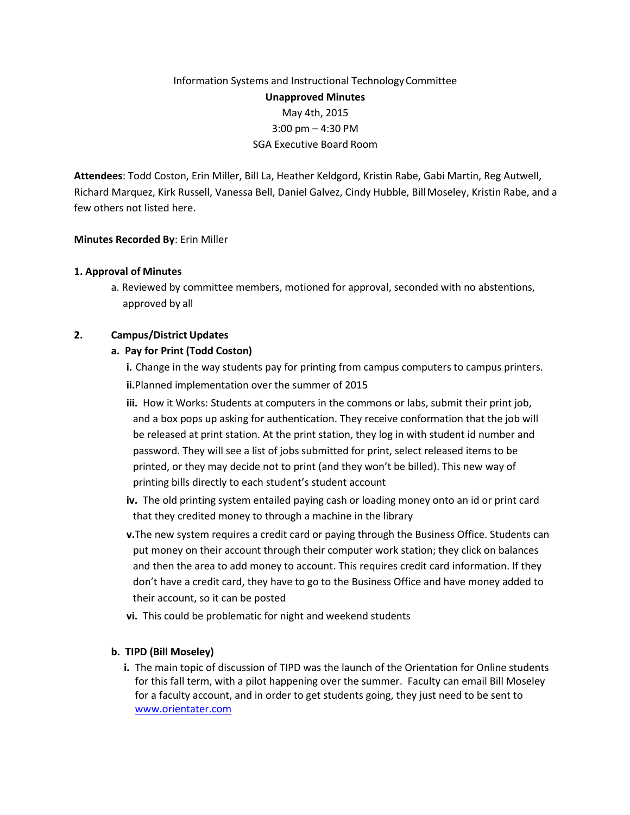# Information Systems and Instructional TechnologyCommittee **Unapproved Minutes** May 4th, 2015 3:00 pm – 4:30 PM SGA Executive Board Room

**Attendees**: Todd Coston, Erin Miller, Bill La, Heather Keldgord, Kristin Rabe, Gabi Martin, Reg Autwell, Richard Marquez, Kirk Russell, Vanessa Bell, Daniel Galvez, Cindy Hubble, Bill Moseley, Kristin Rabe, and a few others not listed here.

### **Minutes Recorded By**: Erin Miller

# **1. Approval of Minutes**

a. Reviewed by committee members, motioned for approval, seconded with no abstentions, approved by all

# **2. Campus/District Updates**

# **a. Pay for Print (Todd Coston)**

**i.** Change in the way students pay for printing from campus computers to campus printers. **ii.**Planned implementation over the summer of 2015

- **iii.** How it Works: Students at computers in the commons or labs, submit their print job, and a box pops up asking for authentication. They receive conformation that the job will be released at print station. At the print station, they log in with student id number and password. They will see a list of jobs submitted for print, select released items to be printed, or they may decide not to print (and they won't be billed). This new way of printing bills directly to each student's student account
- **iv.** The old printing system entailed paying cash or loading money onto an id or print card that they credited money to through a machine in the library
- **v.**The new system requires a credit card or paying through the Business Office. Students can put money on their account through their computer work station; they click on balances and then the area to add money to account. This requires credit card information. If they don't have a credit card, they have to go to the Business Office and have money added to their account, so it can be posted
- **vi.** This could be problematic for night and weekend students

# **b. TIPD (Bill Moseley)**

**i.** The main topic of discussion of TIPD was the launch of the Orientation for Online students for this fall term, with a pilot happening over the summer. Faculty can email Bill Moseley for a faculty account, and in order to get students going, they just need to be sent to [www.orientater.com](https://owa.kccd.edu/owa/redir.aspx?SURL=0H-oOGC9rL7T8HKRkX7UEX3vE0BVfSqUjGeEkjbOSZvsqWTFQL3SCGgAdAB0AHAAOgAvAC8AdwB3AHcALgBvAHIAaQBlAG4AdABhAHQAZQByAC4AYwBvAG0A&URL=http%3a%2f%2fwww.orientater.com)